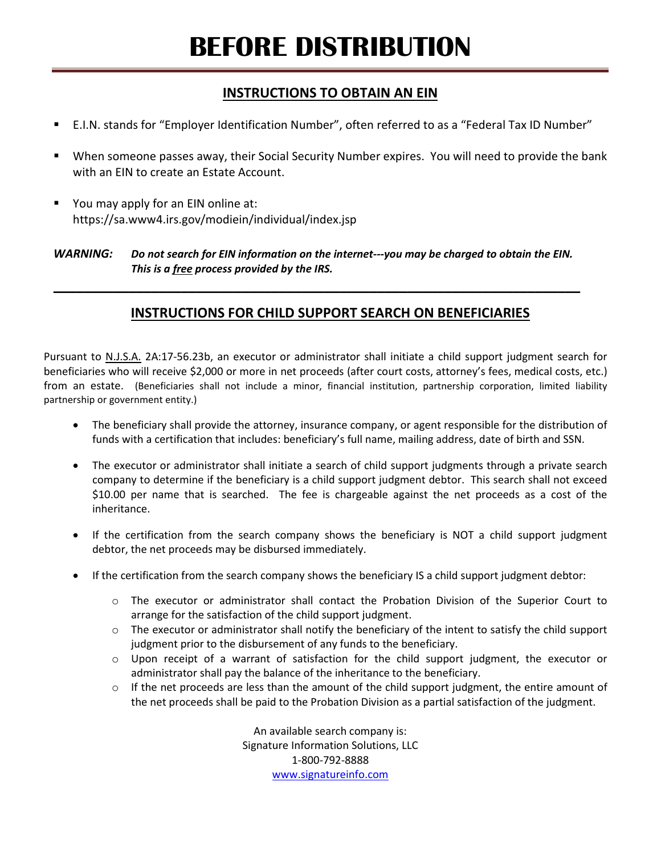# **BEFORE DISTRIBUTION**

#### **INSTRUCTIONS TO OBTAIN AN EIN**

- E.I.N. stands for "Employer Identification Number", often referred to as a "Federal Tax ID Number"
- When someone passes away, their Social Security Number expires. You will need to provide the bank with an EIN to create an Estate Account.
- You may apply for an EIN online at: https://sa.www4.irs.gov/modiein/individual/index.jsp

#### *WARNING: Do not search for EIN information on the internet---you may be charged to obtain the EIN. This is a free process provided by the IRS.*

**\_\_\_\_\_\_\_\_\_\_\_\_\_\_\_\_\_\_\_\_\_\_\_\_\_\_\_\_\_\_\_\_\_\_\_\_\_\_\_\_\_\_\_\_\_\_\_\_\_\_\_\_\_\_\_\_\_\_\_\_\_\_\_\_\_\_\_\_\_\_**

### **INSTRUCTIONS FOR CHILD SUPPORT SEARCH ON BENEFICIARIES**

Pursuant to N.J.S.A. 2A:17-56.23b, an executor or administrator shall initiate a child support judgment search for beneficiaries who will receive \$2,000 or more in net proceeds (after court costs, attorney's fees, medical costs, etc.) from an estate. (Beneficiaries shall not include a minor, financial institution, partnership corporation, limited liability partnership or government entity.)

- The beneficiary shall provide the attorney, insurance company, or agent responsible for the distribution of funds with a certification that includes: beneficiary's full name, mailing address, date of birth and SSN.
- The executor or administrator shall initiate a search of child support judgments through a private search company to determine if the beneficiary is a child support judgment debtor. This search shall not exceed \$10.00 per name that is searched. The fee is chargeable against the net proceeds as a cost of the inheritance.
- If the certification from the search company shows the beneficiary is NOT a child support judgment debtor, the net proceeds may be disbursed immediately.
- If the certification from the search company shows the beneficiary IS a child support judgment debtor:
	- o The executor or administrator shall contact the Probation Division of the Superior Court to arrange for the satisfaction of the child support judgment.
	- $\circ$  The executor or administrator shall notify the beneficiary of the intent to satisfy the child support judgment prior to the disbursement of any funds to the beneficiary.
	- o Upon receipt of a warrant of satisfaction for the child support judgment, the executor or administrator shall pay the balance of the inheritance to the beneficiary.
	- $\circ$  If the net proceeds are less than the amount of the child support judgment, the entire amount of the net proceeds shall be paid to the Probation Division as a partial satisfaction of the judgment.

An available search company is: Signature Information Solutions, LLC 1-800-792-8888 www.signatureinfo.com